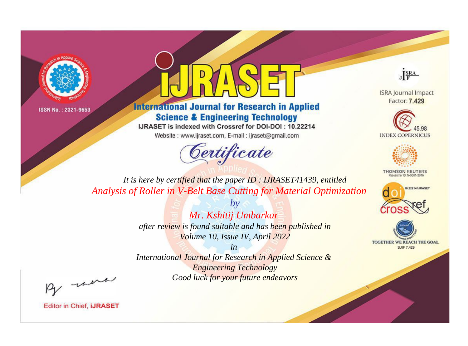



**International Journal for Research in Applied Science & Engineering Technology** 

IJRASET is indexed with Crossref for DOI-DOI: 10.22214

Website: www.ijraset.com, E-mail: ijraset@gmail.com





**ISRA Journal Impact** Factor: 7.429





**THOMSON REUTERS** 



TOGETHER WE REACH THE GOAL **SJIF 7.429** 

*It is here by certified that the paper ID : IJRASET41439, entitled Analysis of Roller in V-Belt Base Cutting for Material Optimization*

> *by Mr. Kshitij Umbarkar after review is found suitable and has been published in Volume 10, Issue IV, April 2022*

> > *in*

*International Journal for Research in Applied Science & Engineering Technology Good luck for your future endeavors*

By morn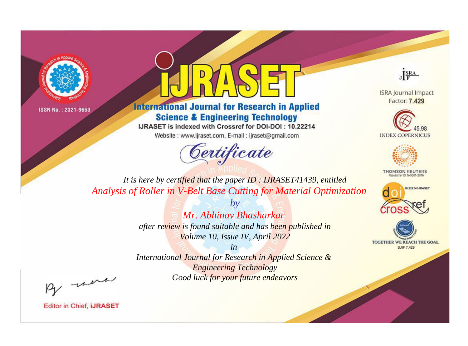



**International Journal for Research in Applied Science & Engineering Technology** 

IJRASET is indexed with Crossref for DOI-DOI: 10.22214

Website: www.ijraset.com, E-mail: ijraset@gmail.com



JERA

**ISRA Journal Impact** Factor: 7.429





**THOMSON REUTERS** 



TOGETHER WE REACH THE GOAL **SJIF 7.429** 

*It is here by certified that the paper ID : IJRASET41439, entitled Analysis of Roller in V-Belt Base Cutting for Material Optimization*

> *by Mr. Abhinav Bhasharkar after review is found suitable and has been published in Volume 10, Issue IV, April 2022*

> > *in*

*International Journal for Research in Applied Science & Engineering Technology Good luck for your future endeavors*

By morn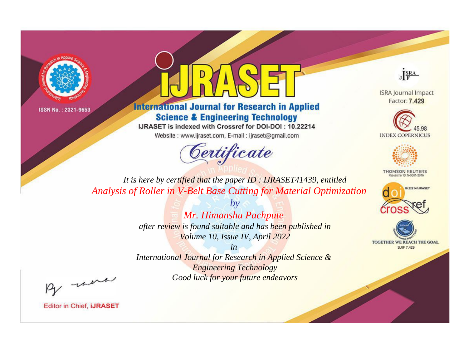



**International Journal for Research in Applied Science & Engineering Technology** 

IJRASET is indexed with Crossref for DOI-DOI: 10.22214

Website: www.ijraset.com, E-mail: ijraset@gmail.com





**ISRA Journal Impact** Factor: 7.429





**THOMSON REUTERS** 



TOGETHER WE REACH THE GOAL **SJIF 7.429** 

*It is here by certified that the paper ID : IJRASET41439, entitled Analysis of Roller in V-Belt Base Cutting for Material Optimization*

> *by Mr. Himanshu Pachpute after review is found suitable and has been published in Volume 10, Issue IV, April 2022*

> > *in*

*International Journal for Research in Applied Science & Engineering Technology Good luck for your future endeavors*

By morn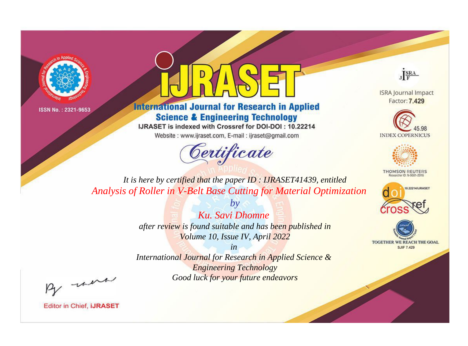



**International Journal for Research in Applied Science & Engineering Technology** 

IJRASET is indexed with Crossref for DOI-DOI: 10.22214

Website: www.ijraset.com, E-mail: ijraset@gmail.com



JERA

**ISRA Journal Impact** Factor: 7.429





**THOMSON REUTERS** 



TOGETHER WE REACH THE GOAL **SJIF 7.429** 

It is here by certified that the paper ID: IJRASET41439, entitled Analysis of Roller in V-Belt Base Cutting for Material Optimization

> Ku. Savi Dhomne after review is found suitable and has been published in Volume 10, Issue IV, April 2022

 $b\nu$ 

 $in$ International Journal for Research in Applied Science & **Engineering Technology** Good luck for your future endeavors

By morn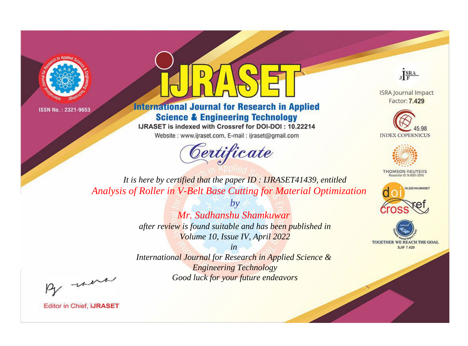



**International Journal for Research in Applied Science & Engineering Technology** 

IJRASET is indexed with Crossref for DOI-DOI: 10.22214

Website: www.ijraset.com, E-mail: ijraset@gmail.com





**ISRA Journal Impact** Factor: 7.429





**THOMSON REUTERS** 



TOGETHER WE REACH THE GOAL **SJIF 7.429** 

*It is here by certified that the paper ID : IJRASET41439, entitled Analysis of Roller in V-Belt Base Cutting for Material Optimization*

> *by Mr. Sudhanshu Shamkuwar after review is found suitable and has been published in Volume 10, Issue IV, April 2022*

> > *in*

*International Journal for Research in Applied Science & Engineering Technology Good luck for your future endeavors*

By morn